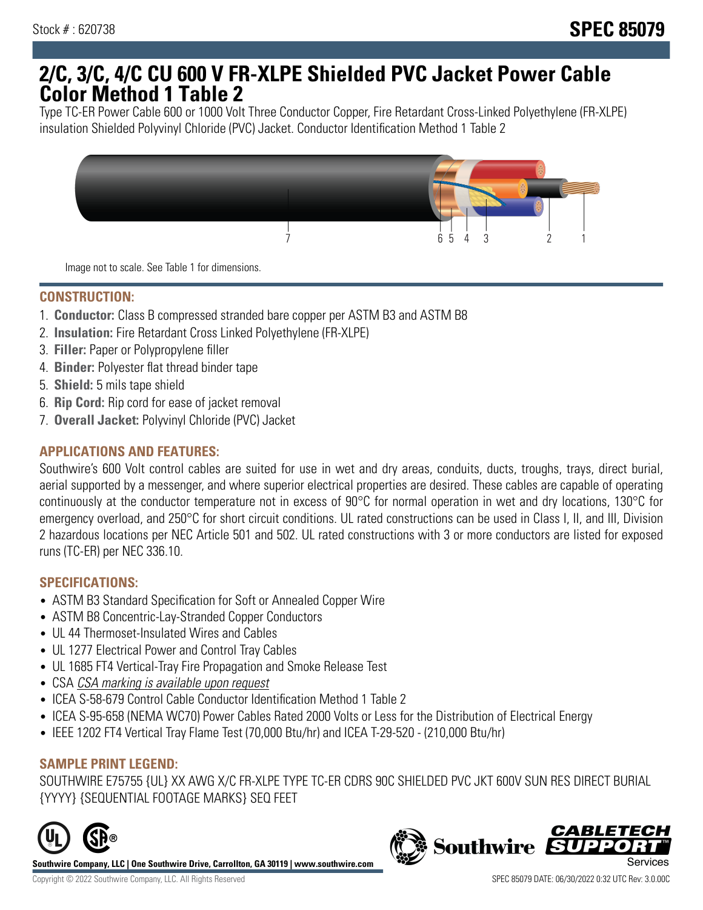# **2/C, 3/C, 4/C CU 600 V FR-XLPE Shielded PVC Jacket Power Cable Color Method 1 Table 2**

Type TC-ER Power Cable 600 or 1000 Volt Three Conductor Copper, Fire Retardant Cross-Linked Polyethylene (FR-XLPE) insulation Shielded Polyvinyl Chloride (PVC) Jacket. Conductor Identification Method 1 Table 2



Image not to scale. See Table 1 for dimensions.

#### **CONSTRUCTION:**

- 1. **Conductor:** Class B compressed stranded bare copper per ASTM B3 and ASTM B8
- 2. **Insulation:** Fire Retardant Cross Linked Polyethylene (FR-XLPE)
- 3. **Filler:** Paper or Polypropylene filler
- 4. **Binder:** Polyester flat thread binder tape
- 5. **Shield:** 5 mils tape shield
- 6. **Rip Cord:** Rip cord for ease of jacket removal
- 7. **Overall Jacket:** Polyvinyl Chloride (PVC) Jacket

## **APPLICATIONS AND FEATURES:**

Southwire's 600 Volt control cables are suited for use in wet and dry areas, conduits, ducts, troughs, trays, direct burial, aerial supported by a messenger, and where superior electrical properties are desired. These cables are capable of operating continuously at the conductor temperature not in excess of 90°C for normal operation in wet and dry locations, 130°C for emergency overload, and 250°C for short circuit conditions. UL rated constructions can be used in Class I, II, and III, Division 2 hazardous locations per NEC Article 501 and 502. UL rated constructions with 3 or more conductors are listed for exposed runs (TC-ER) per NEC 336.10.

#### **SPECIFICATIONS:**

- ASTM B3 Standard Specification for Soft or Annealed Copper Wire
- ASTM B8 Concentric-Lay-Stranded Copper Conductors
- UL 44 Thermoset-Insulated Wires and Cables
- UL 1277 Electrical Power and Control Tray Cables
- UL 1685 FT4 Vertical-Tray Fire Propagation and Smoke Release Test
- CSA CSA marking is available upon request
- ICEA S-58-679 Control Cable Conductor Identification Method 1 Table 2
- ICEA S-95-658 (NEMA WC70) Power Cables Rated 2000 Volts or Less for the Distribution of Electrical Energy
- IEEE 1202 FT4 Vertical Tray Flame Test (70,000 Btu/hr) and ICEA T-29-520 (210,000 Btu/hr)

#### **SAMPLE PRINT LEGEND:**

SOUTHWIRE E75755 {UL} XX AWG X/C FR-XLPE TYPE TC-ER CDRS 90C SHIELDED PVC JKT 600V SUN RES DIRECT BURIAL {YYYY} {SEQUENTIAL FOOTAGE MARKS} SEQ FEET



**Southwire Company, LLC | One Southwire Drive, Carrollton, GA 30119 | www.southwire.com**